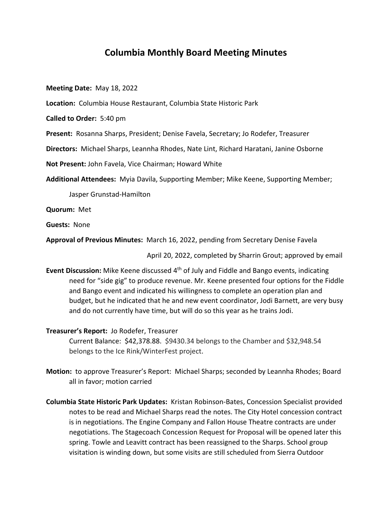## **Columbia Monthly Board Meeting Minutes**

**Meeting Date:** May 18, 2022

**Location:** Columbia House Restaurant, Columbia State Historic Park

**Called to Order:** 5:40 pm

Present: Rosanna Sharps, President; Denise Favela, Secretary; Jo Rodefer, Treasurer

**Directors:** Michael Sharps, Leannha Rhodes, Nate Lint, Richard Haratani, Janine Osborne

**Not Present:** John Favela, Vice Chairman; Howard White

**Additional Attendees:** Myia Davila, Supporting Member; Mike Keene, Supporting Member;

Jasper Grunstad‐Hamilton

**Quorum:** Met

**Guests:** None

**Approval of Previous Minutes:** March 16, 2022, pending from Secretary Denise Favela

April 20, 2022, completed by Sharrin Grout; approved by email

Event Discussion: Mike Keene discussed 4<sup>th</sup> of July and Fiddle and Bango events, indicating need for "side gig" to produce revenue. Mr. Keene presented four options for the Fiddle and Bango event and indicated his willingness to complete an operation plan and budget, but he indicated that he and new event coordinator, Jodi Barnett, are very busy and do not currently have time, but will do so this year as he trains Jodi.

## **Treasurer's Report:** Jo Rodefer, Treasurer

Current Balance: \$42,378.88. \$9430.34 belongs to the Chamber and \$32,948.54 belongs to the Ice Rink/WinterFest project.

- **Motion:** to approve Treasurer's Report: Michael Sharps; seconded by Leannha Rhodes; Board all in favor; motion carried
- **Columbia State Historic Park Updates:** Kristan Robinson‐Bates, Concession Specialist provided notes to be read and Michael Sharps read the notes. The City Hotel concession contract is in negotiations. The Engine Company and Fallon House Theatre contracts are under negotiations. The Stagecoach Concession Request for Proposal will be opened later this spring. Towle and Leavitt contract has been reassigned to the Sharps. School group visitation is winding down, but some visits are still scheduled from Sierra Outdoor